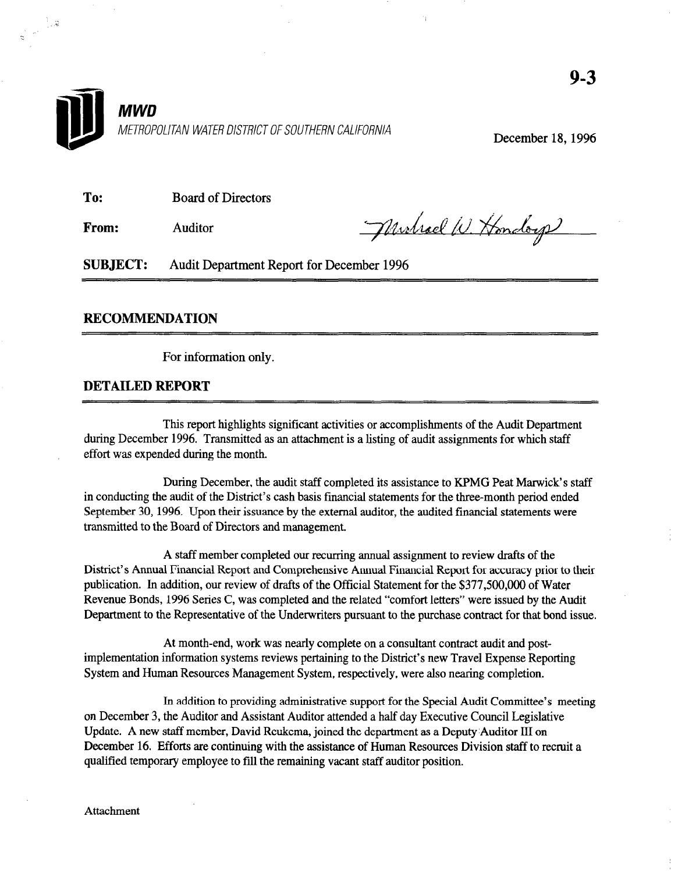

December 18, 1996

To: Board of Directors

From: **Auditor** 

 $\frac{1}{2}$  ,  $2$ 

Murhael W. Hondorp

SUBJECT: Audit Department Report for December 1996

### RECOMMENDATION

For information only.

#### DETAILED REPORT

This report highlights significant activities or accomplishments of the Audit Department during December 1996. Transmitted as a listing as a listing of audit as a listing of audit as a listing of which state is a listing of which state is a listing of which state is a listing of which state is a listing of whi during December 1996. Transmitted as an attachment is a listing of audit assignments for which staff effort was expended during the month.

During December, the audit stati completed its assistance to KPMG Peat Marwick's statements of the three-month in conducting the audit of the District's cash basis financial statements for the three-month period ended September 30, 1996. Upon their issuance by the external auditor, the audited financial statements were transmitted to the Board of Directors and management.

A start member completed our recurring annual assignment to review drafts of the District's Annual Financial Report and Comprehensive Annual Financial Report for accuracy prior to their publication. In addition, our review of drafts of the Official Statement for the \$377,500,000 of Water Revenue Bonds, 1996 Series C, was completed and the related "comfort letters" were issued by the Audit<br>Department to the Representative of the Underwriters pursuant to the purchase contract for that bond issue.

At month-end, work was nearly complete on a consultant contract audit and postimplementation information systems reviews pertaining to the District's new Travel Expense Reporting System and Human Resources Management System, respectively, were also nearing completion.

In addition to providing administrative support for the Special Audit Committee's meeting on December 3, the Auditor and Assistant Auditor attended a half day Executive Council Legislative Update. A new staff member, David Reukema, joined the department as a Deputy Auditor III on December 16. Efforts are continuing with the assistance of Human Resources Division staff to recruit a qualified temporary employee to fill the remaining vacant staff auditor position.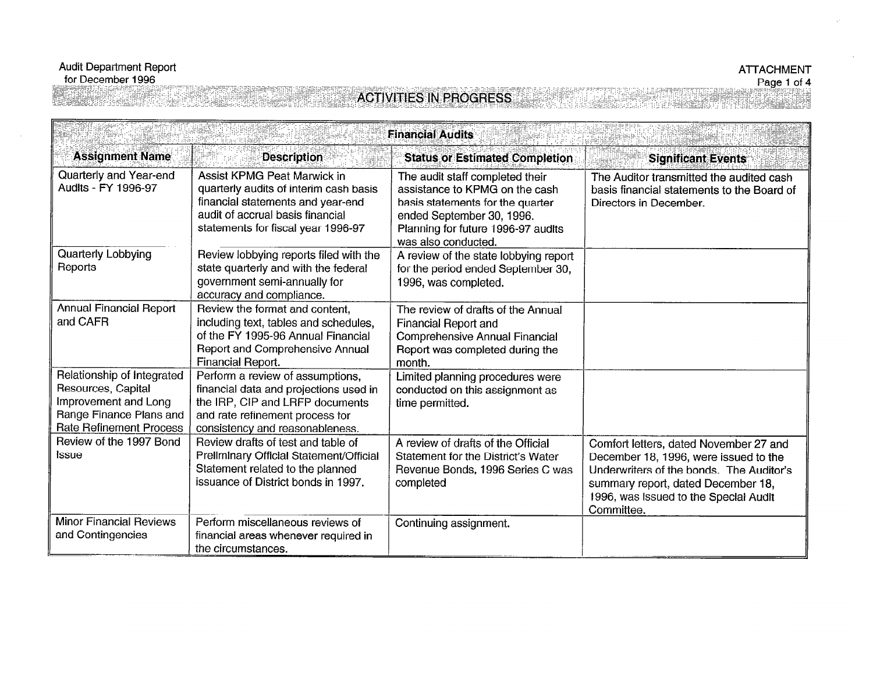## **ACTIVITIES IN PROGRESS**

| <b>Financial Audits</b>                                                                                                               |                                                                                                                                                                                      |                                                                                                                                                                                                 |                                                                                                                                                                                                                          |
|---------------------------------------------------------------------------------------------------------------------------------------|--------------------------------------------------------------------------------------------------------------------------------------------------------------------------------------|-------------------------------------------------------------------------------------------------------------------------------------------------------------------------------------------------|--------------------------------------------------------------------------------------------------------------------------------------------------------------------------------------------------------------------------|
| <b>Assignment Name</b>                                                                                                                | <b>Description</b>                                                                                                                                                                   | <b>Status or Estimated Completion</b>                                                                                                                                                           | <b>Significant Events</b>                                                                                                                                                                                                |
| Quarterly and Year-end<br>Audits - FY 1996-97                                                                                         | Assist KPMG Peat Marwick in<br>quarterly audits of interim cash basis<br>financial statements and year-end<br>audit of accrual basis financial<br>statements for fiscal year 1996-97 | The audit staff completed their<br>assistance to KPMG on the cash<br>basis statements for the quarter<br>ended September 30, 1996.<br>Planning for future 1996-97 audits<br>was also conducted. | The Auditor transmitted the audited cash<br>basis financial statements to the Board of<br>Directors in December.                                                                                                         |
| Quarterly Lobbying<br>Reports                                                                                                         | Review lobbying reports filed with the<br>state quarterly and with the federal<br>government semi-annually for<br>accuracy and compliance.                                           | A review of the state lobbying report<br>for the period ended September 30,<br>1996, was completed.                                                                                             |                                                                                                                                                                                                                          |
| <b>Annual Financial Report</b><br>and CAFR                                                                                            | Review the format and content.<br>including text, tables and schedules,<br>of the FY 1995-96 Annual Financial<br>Report and Comprehensive Annual<br>Financial Report.                | The review of drafts of the Annual<br>Financial Report and<br>Comprehensive Annual Financial<br>Report was completed during the<br>month.                                                       |                                                                                                                                                                                                                          |
| Relationship of Integrated<br>Resources, Capital<br>Improvement and Long<br>Range Finance Plans and<br><b>Rate Refinement Process</b> | Perform a review of assumptions,<br>financial data and projections used in<br>the IRP, CIP and LRFP documents<br>and rate refinement process for<br>consistency and reasonableness.  | Limited planning procedures were<br>conducted on this assignment as<br>time permitted.                                                                                                          |                                                                                                                                                                                                                          |
| Review of the 1997 Bond<br>Issue                                                                                                      | Review drafts of test and table of<br>Preliminary Official Statement/Official<br>Statement related to the planned<br>issuance of District bonds in 1997.                             | A review of drafts of the Official<br>Statement for the District's Water<br>Revenue Bonds, 1996 Series C was<br>completed                                                                       | Comfort letters, dated November 27 and<br>December 18, 1996, were issued to the<br>Underwriters of the bonds. The Auditor's<br>summary report, dated December 18,<br>1996, was issued to the Special Audit<br>Committee. |
| <b>Minor Financial Reviews</b><br>and Contingencies                                                                                   | Perform miscellaneous reviews of<br>financial areas whenever required in<br>the circumstances.                                                                                       | Continuing assignment.                                                                                                                                                                          |                                                                                                                                                                                                                          |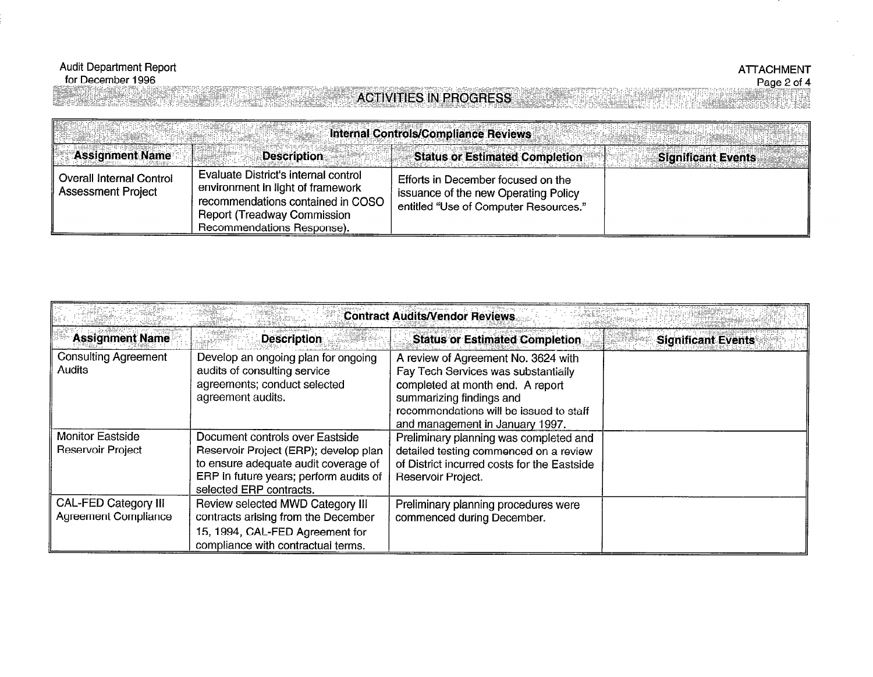. ...:. .C.%. ...:'::,::...;: y;:: ). ..,.,.:: :: ,:: ~..:( ;;..y..: II :<:g.:; '~.::~::,~,,~:,,~i,,~,~:~.~:"'~:';".';':

#### ATTACHMENT Page 2 of 4

## **ACTIVITIES IN PROGRESS**

Internal Controls/Compliance Reviews **Assignment Name Description Status or Estimated Completion Significant Events** Evaluate District's internal control **Overall Internal Control** Efforts in December focused on the environment in light of framework Assessment Project issuance of the new Operating Policy recommendations contained in COSO entitled "Use of Computer Resources." **Report (Treadway Commission** Recommendations Response).

| <b>Contract Audits/Vendor Reviews</b>                      |                                                                                                                                                                                       |                                                                                                                                                                                                                          |                           |
|------------------------------------------------------------|---------------------------------------------------------------------------------------------------------------------------------------------------------------------------------------|--------------------------------------------------------------------------------------------------------------------------------------------------------------------------------------------------------------------------|---------------------------|
| <b>Assignment Name</b>                                     | <b>Description</b>                                                                                                                                                                    | <b>Status or Estimated Completion</b>                                                                                                                                                                                    | <b>Significant Events</b> |
| <b>Consulting Agreement</b><br><b>Audits</b>               | Develop an ongoing plan for ongoing<br>audits of consulting service<br>agreements; conduct selected<br>agreement audits.                                                              | A review of Agreement No. 3624 with<br>Fay Tech Services was substantially<br>completed at month end. A report<br>summarizing findings and<br>recommendations will be issued to staff<br>and management in January 1997. |                           |
| <b>Monitor Eastside</b><br>Reservoir Project               | Document controls over Eastside<br>Reservoir Project (ERP); develop plan<br>to ensure adequate audit coverage of<br>ERP in future years; perform audits of<br>selected ERP contracts. | Preliminary planning was completed and<br>detailed testing commenced on a review<br>of District incurred costs for the Eastside<br>Reservoir Project.                                                                    |                           |
| <b>CAL-FED Category III</b><br><b>Agreement Compliance</b> | Review selected MWD Category III<br>contracts arising from the December<br>15, 1994, CAL-FED Agreement for<br>compliance with contractual terms.                                      | Preliminary planning procedures were<br>commenced during December.                                                                                                                                                       |                           |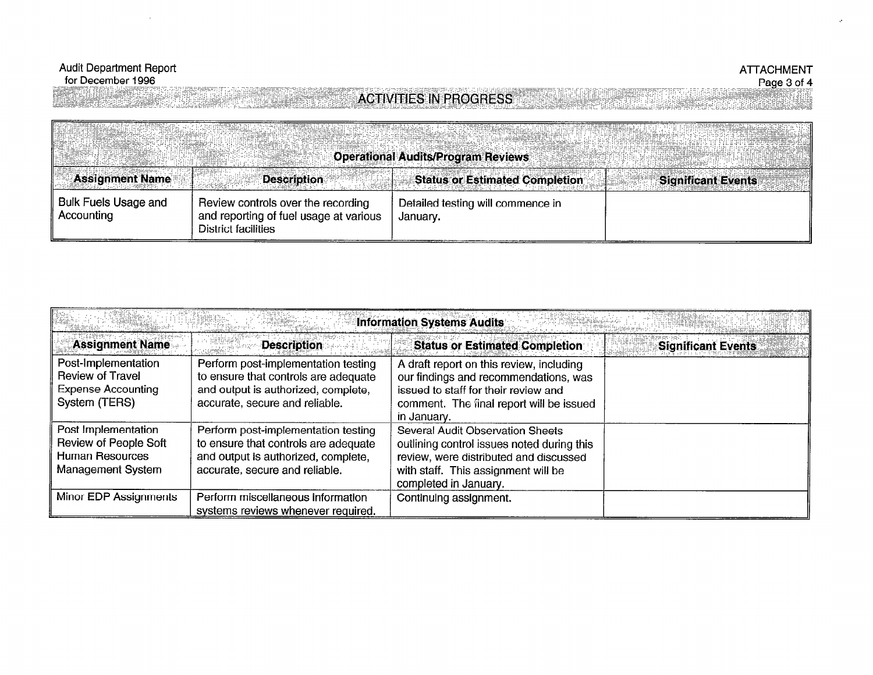## **ATTACHMENT** Page 3 of 4

# entili k

er en 1956

# **ACTIVITIES IN PROGRESS**

|                                           |                                                                                                            | <b>Operational Audits/Program Reviews</b>     |                           |
|-------------------------------------------|------------------------------------------------------------------------------------------------------------|-----------------------------------------------|---------------------------|
| <b>Assignment Name</b>                    | <b>Description</b>                                                                                         | <b>Status or Estimated Completion</b>         | <b>Significant Events</b> |
| <b>Bulk Fuels Usage and</b><br>Accounting | Review controls over the recording<br>and reporting of fuel usage at various<br><b>District facilities</b> | Detailed testing will commence in<br>January. |                           |

| <b>Information Systems Audits</b>                                                            |                                                                                                                                                      |                                                                                                                                                                                          |                           |
|----------------------------------------------------------------------------------------------|------------------------------------------------------------------------------------------------------------------------------------------------------|------------------------------------------------------------------------------------------------------------------------------------------------------------------------------------------|---------------------------|
| <b>Assignment Name</b>                                                                       | <b>Description</b>                                                                                                                                   | <b>Status or Estimated Completion</b>                                                                                                                                                    | <b>Significant Events</b> |
| Post-Implementation<br><b>Review of Travel</b><br><b>Expense Accounting</b><br>System (TERS) | Perform post-implementation testing<br>to ensure that controls are adequate<br>and output is authorized, complete,<br>accurate, secure and reliable. | A draft report on this review, including<br>our findings and recommendations, was<br>issued to staff for their review and<br>comment. The final report will be issued<br>in January.     |                           |
| Post Implementation<br>Review of People Soft<br><b>Human Resources</b><br>Management System  | Perform post-implementation testing<br>to ensure that controls are adequate<br>and output is authorized, complete,<br>accurate, secure and reliable. | Several Audit Observation Sheets<br>outlining control issues noted during this<br>review, were distributed and discussed<br>with staff. This assignment will be<br>completed in January. |                           |
| Minor EDP Assignments                                                                        | Perform miscellaneous information<br>systems reviews whenever required.                                                                              | Continuing assignment.                                                                                                                                                                   |                           |